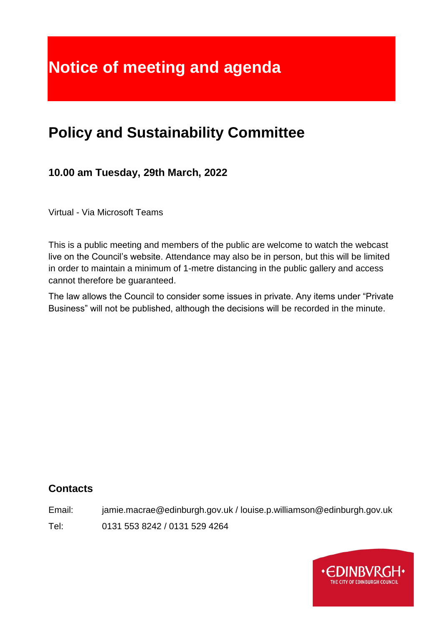# **Notice of meeting and agenda**

# **Policy and Sustainability Committee**

# **10.00 am Tuesday, 29th March, 2022**

Virtual - Via Microsoft Teams

This is a public meeting and members of the public are welcome to watch the webcast live on the Council's website. Attendance may also be in person, but this will be limited in order to maintain a minimum of 1-metre distancing in the public gallery and access cannot therefore be guaranteed.

The law allows the Council to consider some issues in private. Any items under "Private Business" will not be published, although the decisions will be recorded in the minute.

#### **Contacts**

Email: jamie.macrae@edinburgh.gov.uk / louise.p.williamson@edinburgh.gov.uk Tel: 0131 553 8242 / 0131 529 4264

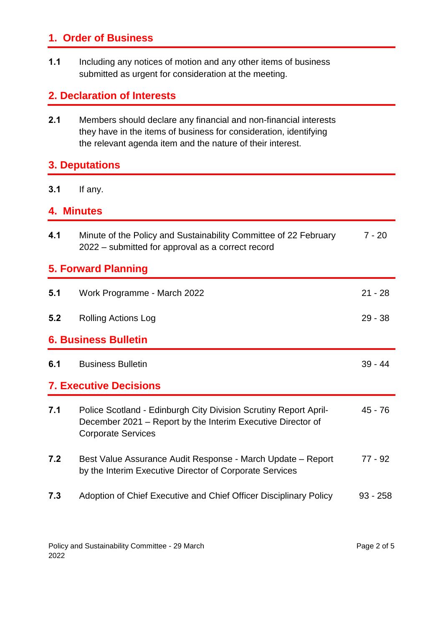## **1. Order of Business**

**1.1** Including any notices of motion and any other items of business submitted as urgent for consideration at the meeting.

#### **2. Declaration of Interests**

**2.1** Members should declare any financial and non-financial interests they have in the items of business for consideration, identifying the relevant agenda item and the nature of their interest.

#### **3. Deputations**

**3.1** If any.

#### **4. Minutes**

| 4.1                           | Minute of the Policy and Sustainability Committee of 22 February<br>2022 – submitted for approval as a correct record                                        | $7 - 20$   |  |
|-------------------------------|--------------------------------------------------------------------------------------------------------------------------------------------------------------|------------|--|
| <b>5. Forward Planning</b>    |                                                                                                                                                              |            |  |
| 5.1                           | Work Programme - March 2022                                                                                                                                  | $21 - 28$  |  |
| 5.2                           | <b>Rolling Actions Log</b>                                                                                                                                   | $29 - 38$  |  |
| <b>6. Business Bulletin</b>   |                                                                                                                                                              |            |  |
| 6.1                           | <b>Business Bulletin</b>                                                                                                                                     | $39 - 44$  |  |
| <b>7. Executive Decisions</b> |                                                                                                                                                              |            |  |
| 7.1                           | Police Scotland - Edinburgh City Division Scrutiny Report April-<br>December 2021 – Report by the Interim Executive Director of<br><b>Corporate Services</b> | $45 - 76$  |  |
| 7.2                           | Best Value Assurance Audit Response - March Update - Report<br>by the Interim Executive Director of Corporate Services                                       | $77 - 92$  |  |
| 7.3                           | Adoption of Chief Executive and Chief Officer Disciplinary Policy                                                                                            | $93 - 258$ |  |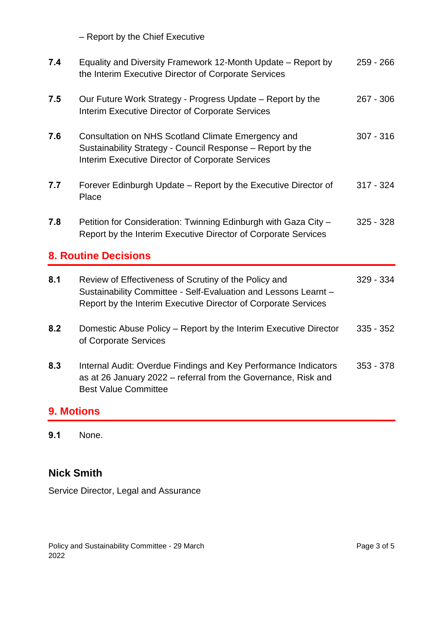– Report by the Chief Executive

| 7.4               | Equality and Diversity Framework 12-Month Update – Report by<br>the Interim Executive Director of Corporate Services                                                                       | $259 - 266$ |  |
|-------------------|--------------------------------------------------------------------------------------------------------------------------------------------------------------------------------------------|-------------|--|
| 7.5               | Our Future Work Strategy - Progress Update – Report by the<br><b>Interim Executive Director of Corporate Services</b>                                                                      | $267 - 306$ |  |
| 7.6               | Consultation on NHS Scotland Climate Emergency and<br>Sustainability Strategy - Council Response - Report by the<br><b>Interim Executive Director of Corporate Services</b>                | $307 - 316$ |  |
| 7.7               | Forever Edinburgh Update – Report by the Executive Director of<br>Place                                                                                                                    | $317 - 324$ |  |
| 7.8               | Petition for Consideration: Twinning Edinburgh with Gaza City -<br>Report by the Interim Executive Director of Corporate Services                                                          | $325 - 328$ |  |
|                   | <b>8. Routine Decisions</b>                                                                                                                                                                |             |  |
| 8.1               | Review of Effectiveness of Scrutiny of the Policy and<br>Sustainability Committee - Self-Evaluation and Lessons Learnt -<br>Report by the Interim Executive Director of Corporate Services | 329 - 334   |  |
| 8.2               | Domestic Abuse Policy - Report by the Interim Executive Director<br>of Corporate Services                                                                                                  | $335 - 352$ |  |
| 8.3               | Internal Audit: Overdue Findings and Key Performance Indicators<br>as at 26 January 2022 - referral from the Governance, Risk and<br><b>Best Value Committee</b>                           | $353 - 378$ |  |
| <b>9. Motions</b> |                                                                                                                                                                                            |             |  |

# **Nick Smith**

Service Director, Legal and Assurance

Policy and Sustainability Committee - 29 March 2022

**<sup>9.1</sup>** None.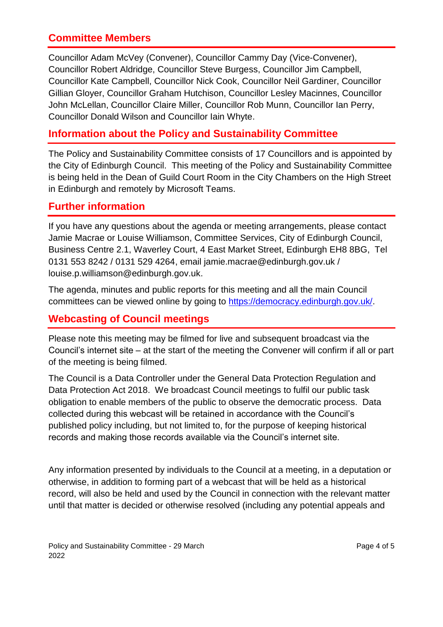#### **Committee Members**

Councillor Adam McVey (Convener), Councillor Cammy Day (Vice-Convener), Councillor Robert Aldridge, Councillor Steve Burgess, Councillor Jim Campbell, Councillor Kate Campbell, Councillor Nick Cook, Councillor Neil Gardiner, Councillor Gillian Gloyer, Councillor Graham Hutchison, Councillor Lesley Macinnes, Councillor John McLellan, Councillor Claire Miller, Councillor Rob Munn, Councillor Ian Perry, Councillor Donald Wilson and Councillor Iain Whyte.

#### **Information about the Policy and Sustainability Committee**

The Policy and Sustainability Committee consists of 17 Councillors and is appointed by the City of Edinburgh Council. This meeting of the Policy and Sustainability Committee is being held in the Dean of Guild Court Room in the City Chambers on the High Street in Edinburgh and remotely by Microsoft Teams.

#### **Further information**

If you have any questions about the agenda or meeting arrangements, please contact Jamie Macrae or Louise Williamson, Committee Services, City of Edinburgh Council, Business Centre 2.1, Waverley Court, 4 East Market Street, Edinburgh EH8 8BG, Tel 0131 553 8242 / 0131 529 4264, email jamie.macrae@edinburgh.gov.uk / louise.p.williamson@edinburgh.gov.uk.

The agenda, minutes and public reports for this meeting and all the main Council committees can be viewed online by going to [https://democracy.edinburgh.gov.uk/.](https://democracy.edinburgh.gov.uk/)

## **Webcasting of Council meetings**

Please note this meeting may be filmed for live and subsequent broadcast via the Council's internet site – at the start of the meeting the Convener will confirm if all or part of the meeting is being filmed.

The Council is a Data Controller under the General Data Protection Regulation and Data Protection Act 2018. We broadcast Council meetings to fulfil our public task obligation to enable members of the public to observe the democratic process. Data collected during this webcast will be retained in accordance with the Council's published policy including, but not limited to, for the purpose of keeping historical records and making those records available via the Council's internet site.

Any information presented by individuals to the Council at a meeting, in a deputation or otherwise, in addition to forming part of a webcast that will be held as a historical record, will also be held and used by the Council in connection with the relevant matter until that matter is decided or otherwise resolved (including any potential appeals and